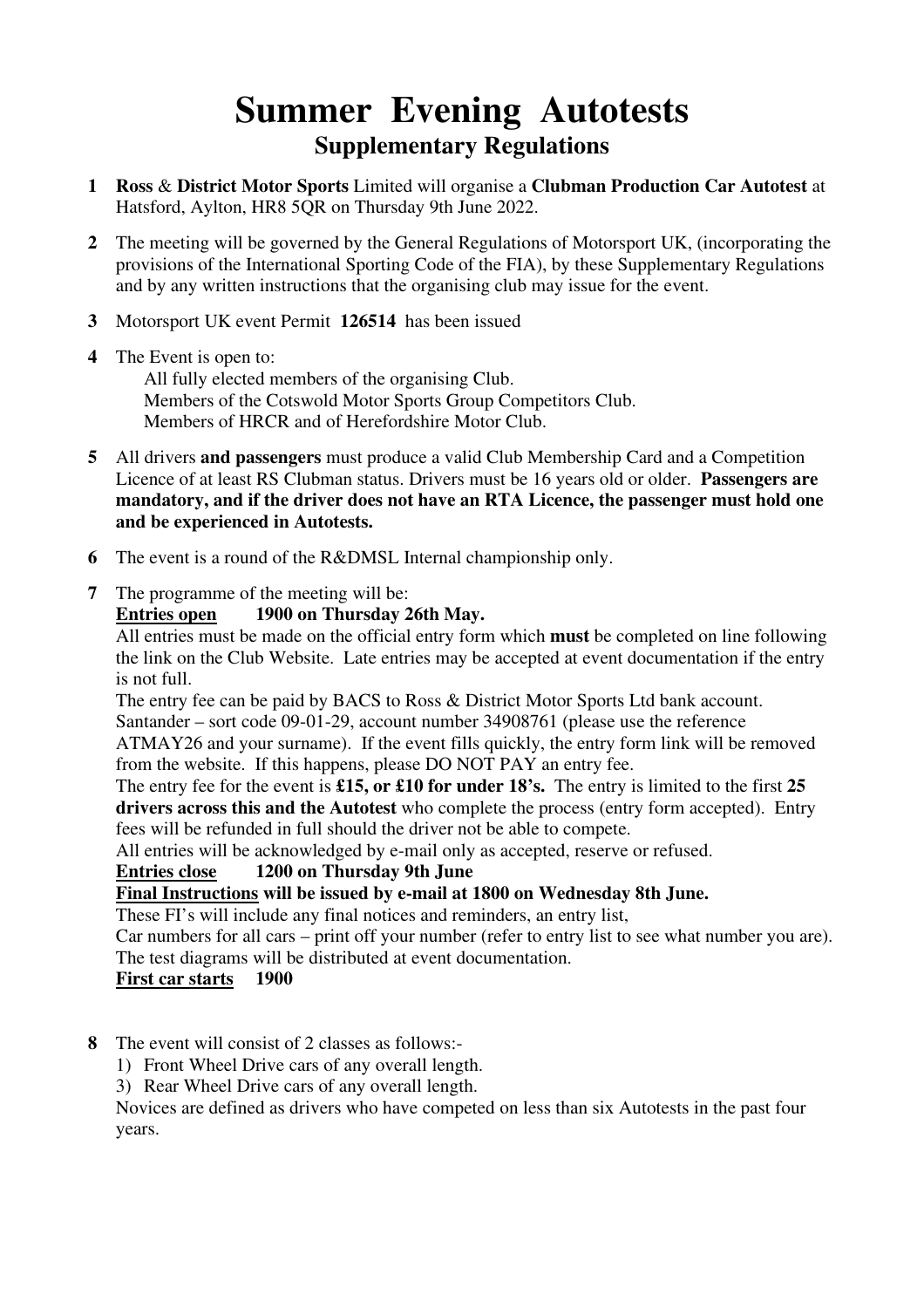# **Summer Evening Autotests Supplementary Regulations**

- **1 Ross** & **District Motor Sports** Limited will organise a **Clubman Production Car Autotest** at Hatsford, Aylton, HR8 5QR on Thursday 9th June 2022.
- **2** The meeting will be governed by the General Regulations of Motorsport UK, (incorporating the provisions of the International Sporting Code of the FIA), by these Supplementary Regulations and by any written instructions that the organising club may issue for the event.
- **3** Motorsport UK event Permit **126514** has been issued
- **4** The Event is open to: All fully elected members of the organising Club. Members of the Cotswold Motor Sports Group Competitors Club. Members of HRCR and of Herefordshire Motor Club.
- **5** All drivers **and passengers** must produce a valid Club Membership Card and a Competition Licence of at least RS Clubman status. Drivers must be 16 years old or older. **Passengers are mandatory, and if the driver does not have an RTA Licence, the passenger must hold one and be experienced in Autotests.**
- **6** The event is a round of the R&DMSL Internal championship only.
- **7** The programme of the meeting will be:

#### **Entries open 1900 on Thursday 26th May.**

All entries must be made on the official entry form which **must** be completed on line following the link on the Club Website. Late entries may be accepted at event documentation if the entry is not full.

The entry fee can be paid by BACS to Ross & District Motor Sports Ltd bank account. Santander – sort code 09-01-29, account number 34908761 (please use the reference ATMAY26 and your surname). If the event fills quickly, the entry form link will be removed

from the website. If this happens, please DO NOT PAY an entry fee.

The entry fee for the event is **£15, or £10 for under 18's.** The entry is limited to the first **25 drivers across this and the Autotest** who complete the process (entry form accepted). Entry fees will be refunded in full should the driver not be able to compete.

All entries will be acknowledged by e-mail only as accepted, reserve or refused.

### **Entries close 1200 on Thursday 9th June**

### **Final Instructions will be issued by e-mail at 1800 on Wednesday 8th June.**

These FI's will include any final notices and reminders, an entry list,

Car numbers for all cars – print off your number (refer to entry list to see what number you are). The test diagrams will be distributed at event documentation.

### **First car starts 1900**

- **8** The event will consist of 2 classes as follows:-
	- 1) Front Wheel Drive cars of any overall length.

3) Rear Wheel Drive cars of any overall length.

 Novices are defined as drivers who have competed on less than six Autotests in the past four years.